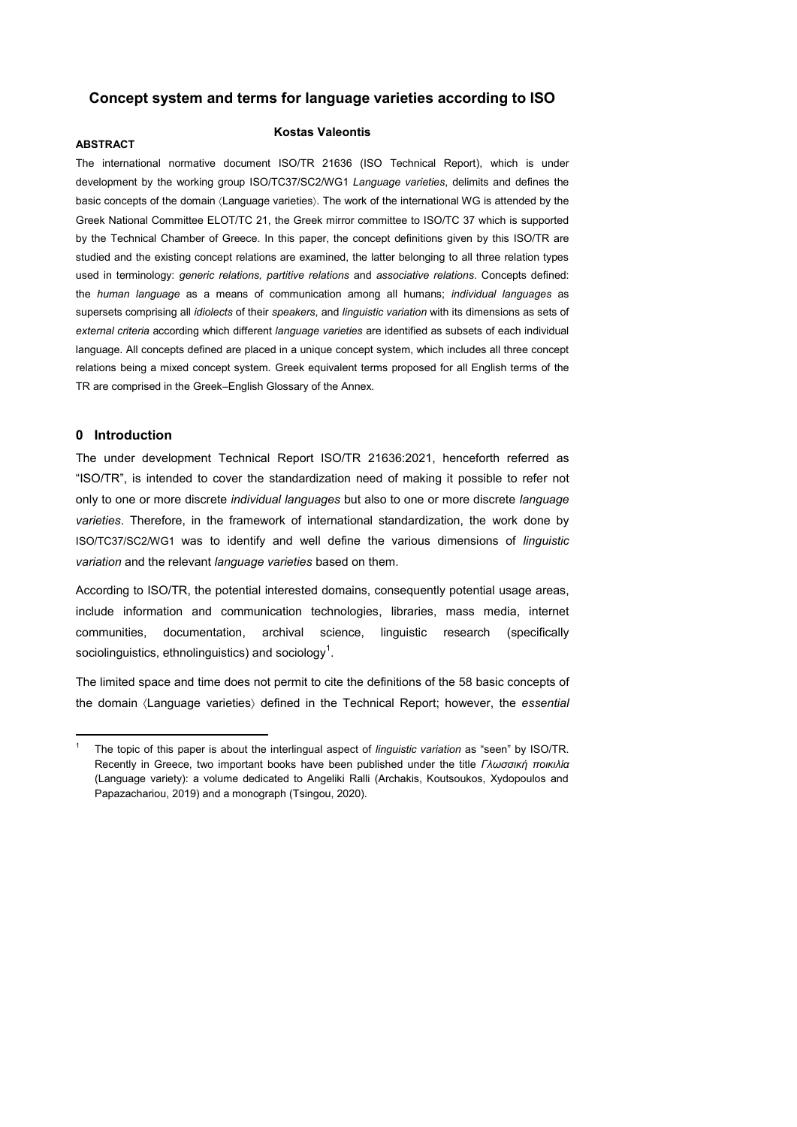## **Concept system and terms for language varieties according to ISO**

#### **ABSTRACT**

### **Kostas Valeontis**

The international normative document ISO/TR 21636 (ISO Technical Report), which is under development by the working group ISO/TC37/SC2/WG1 *Language varieties*, delimits and defines the basic concepts of the domain (Language varieties). The work of the international WG is attended by the Greek National Committee ELOT/TC 21, the Greek mirror committee to ISO/TC 37 which is supported by the Technical Chamber of Greece. In this paper, the concept definitions given by this ISO/TR are studied and the existing concept relations are examined, the latter belonging to all three relation types used in terminology: *generic relations, partitive relations* and *associative relations*. Concepts defined: the *human language* as a means of communication among all humans; *individual languages* as supersets comprising all *idiolects* of their *speakers*, and *linguistic variation* with its dimensions as sets of *external criteria* according which different *language varieties* are identified as subsets of each individual language. All concepts defined are placed in a unique concept system, which includes all three concept relations being a mixed concept system. Greek equivalent terms proposed for all English terms of the TR are comprised in the Greek–English Glossary of the Annex.

### **0 Introduction**

-

The under development Technical Report ISO/TR 21636:2021, henceforth referred as "ISO/TR", is intended to cover the standardization need of making it possible to refer not only to one or more discrete *individual languages* but also to one or more discrete *language varieties*. Therefore, in the framework of international standardization, the work done by ISO/TC37/SC2/WG1 was to identify and well define the various dimensions of *linguistic variation* and the relevant *language varieties* based on them.

According to ISO/TR, the potential interested domains, consequently potential usage areas, include information and communication technologies, libraries, mass media, internet communities, documentation, archival science, linguistic research (specifically sociolinguistics, ethnolinguistics) and sociology<sup>1</sup>.

The limited space and time does not permit to cite the definitions of the 58 basic concepts of the domain  $\langle$ Language varieties $\rangle$  defined in the Technical Report; however, the *essential* 

<sup>1</sup> The topic of this paper is about the interlingual aspect of *linguistic variation* as "seen" by ISO/TR. Recently in Greece, two important books have been published under the title *Γλωσσική ποικιλία* (Language variety): a volume dedicated to Angeliki Ralli (Archakis, Koutsoukos, Xydopoulos and Papazachariou, 2019) and a monograph (Tsingou, 2020).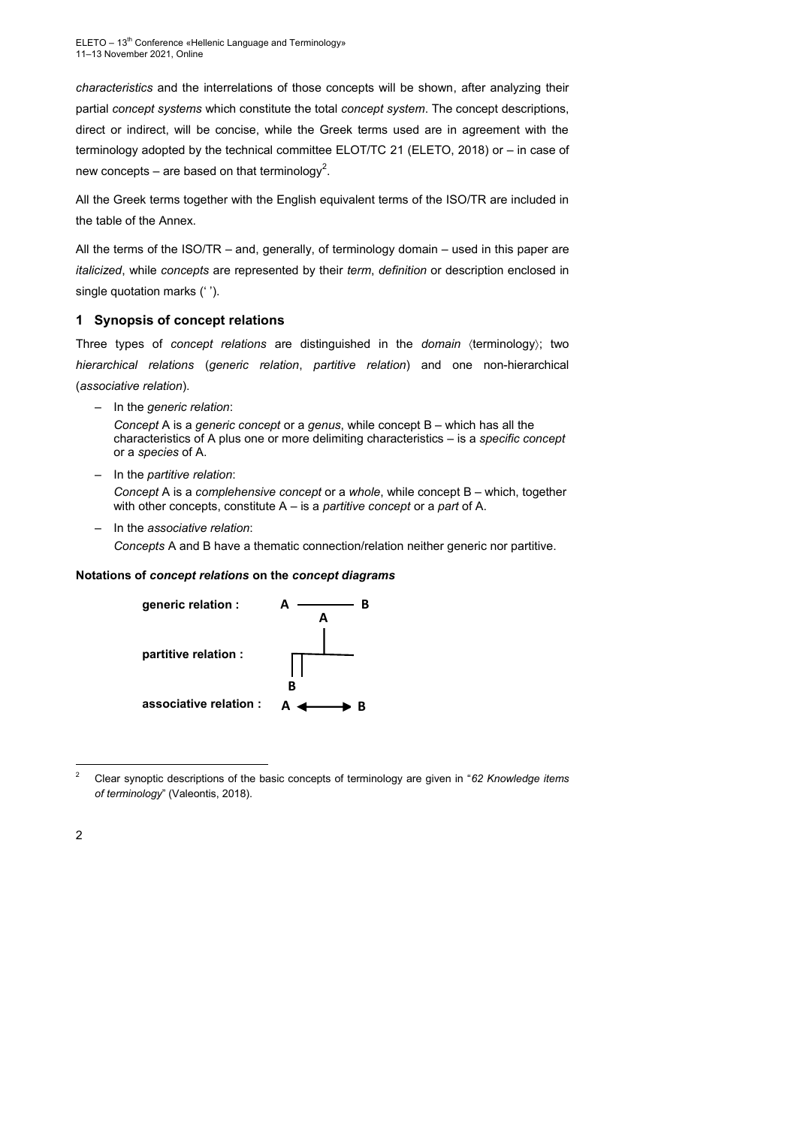*characteristics* and the interrelations of those concepts will be shown, after analyzing their partial *concept systems* which constitute the total *concept system*. The concept descriptions, direct or indirect, will be concise, while the Greek terms used are in agreement with the terminology adopted by the technical committee ELOT/TC 21 (ELETO, 2018) or – in case of new concepts – are based on that terminology<sup>2</sup>.

All the Greek terms together with the English equivalent terms of the ISO/TR are included in the table of the Annex.

All the terms of the ISO/TR – and, generally, of terminology domain – used in this paper are *italicized*, while *concepts* are represented by their *term*, *definition* or description enclosed in single quotation marks (' ').

## **1 Synopsis of concept relations**

Three types of *concept relations* are distinguished in the *domain* (terminology); two *hierarchical relations* (*generic relation*, *partitive relation*) and one non-hierarchical (*associative relation*).

– In the *generic relation*:

*Concept* A is a *generic concept* or a *genus*, while concept B – which has all the characteristics of A plus one or more delimiting characteristics – is a *specific concept*  or a *species* of Α.

– In the *partitive relation*:

*Concept* A is a *complehensive concept* or a *whole*, while concept B – which, together with other concepts, constitute A – is a *partitive concept* or a *part* of Α.

– In the *associative relation*:

*Concepts* A and B have a thematic connection/relation neither generic nor partitive.

#### **Notations of** *concept relations* **on the** *concept diagrams*



<sup>2</sup> Clear synoptic descriptions of the basic concepts of terminology are given in "*62 Knowledge items of terminology*" (Valeontis, 2018).

-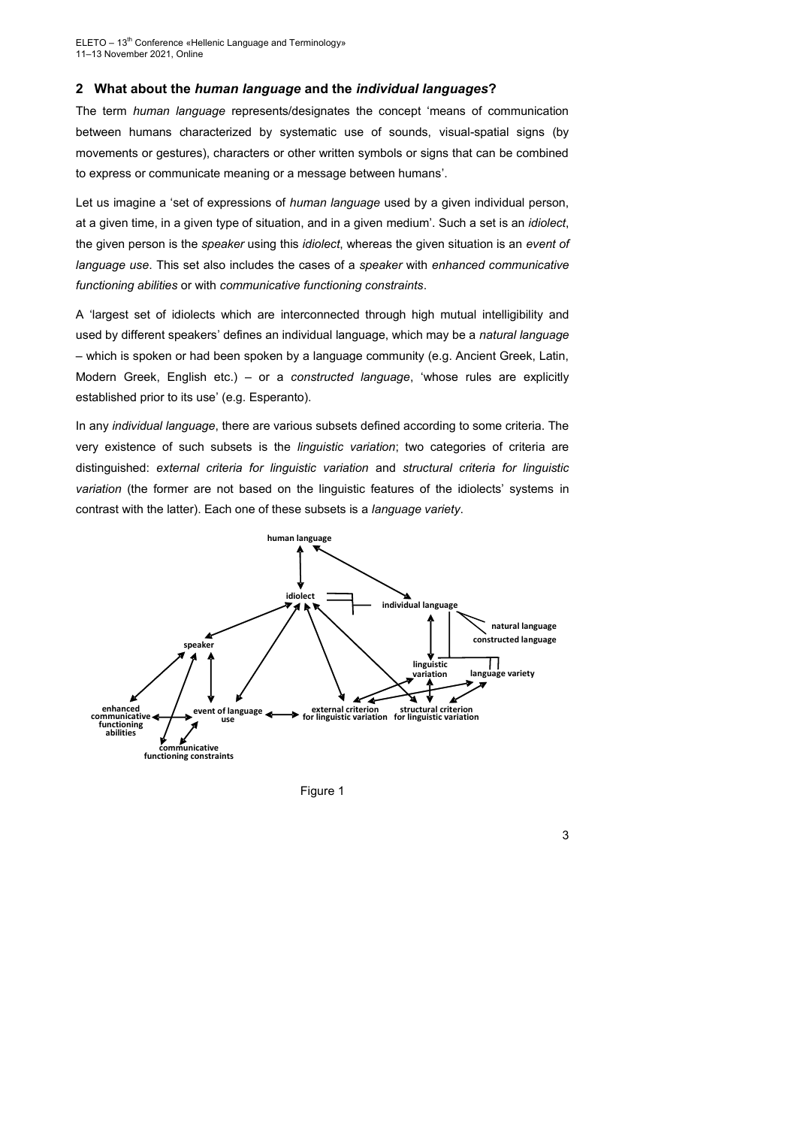#### **2 What about the** *human language* **and the** *individual languages***?**

The term *human language* represents/designates the concept 'means of communication between humans characterized by systematic use of sounds, visual-spatial signs (by movements or gestures), characters or other written symbols or signs that can be combined to express or communicate meaning or a message between humans'.

Let us imagine a 'set of expressions of *human language* used by a given individual person, at a given time, in a given type of situation, and in a given medium'. Such a set is an *idiolect*, the given person is the *speaker* using this *idiolect*, whereas the given situation is an *event of language use*. This set also includes the cases of a *speaker* with *enhanced communicative functioning abilities* or with *communicative functioning constraints*.

A 'largest set of idiolects which are interconnected through high mutual intelligibility and used by different speakers' defines an individual language, which may be a *natural language* – which is spoken or had been spoken by a language community (e.g. Ancient Greek, Latin, Modern Greek, English etc.) – or a *constructed language*, 'whose rules are explicitly established prior to its use' (e.g. Esperanto).

In any *individual language*, there are various subsets defined according to some criteria. The very existence of such subsets is the *linguistic variation*; two categories of criteria are distinguished: *external criteria for linguistic variation* and *structural criteria for linguistic variation* (the former are not based on the linguistic features of the idiolects' systems in contrast with the latter). Each one of these subsets is a *language variety*.



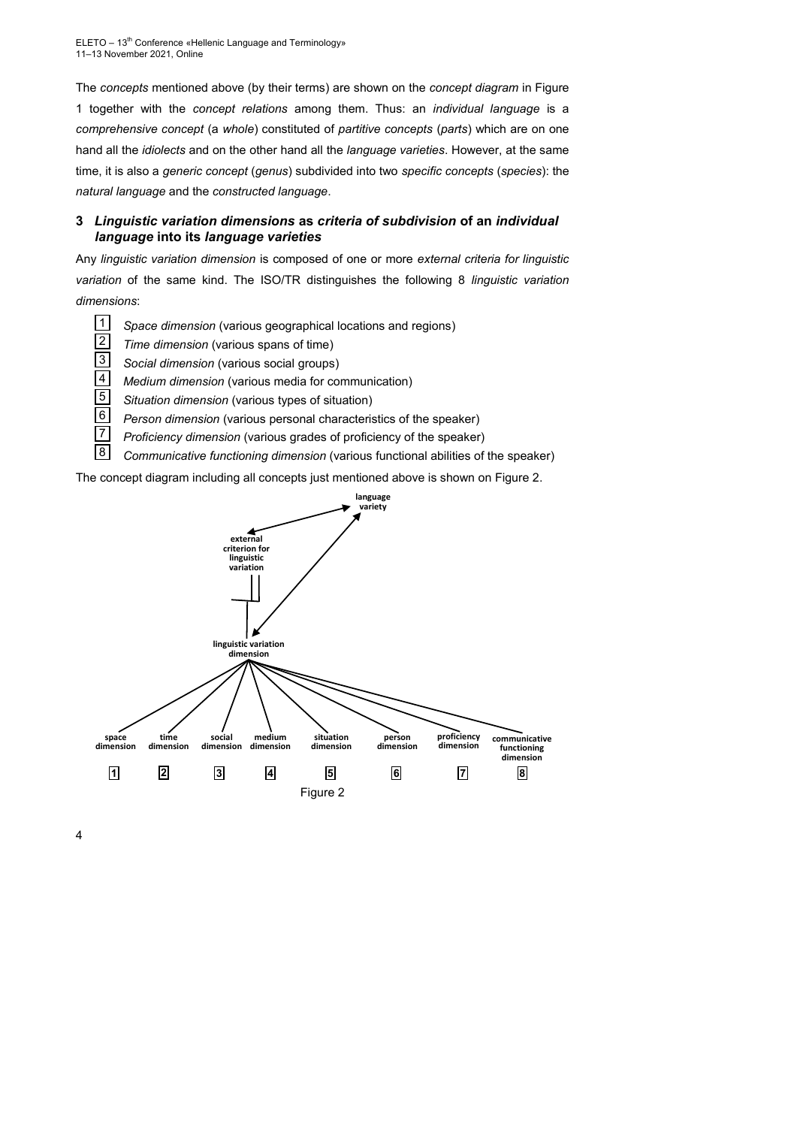ELETO - 13<sup>th</sup> Conference «Hellenic Language and Terminology» 11–13 November 2021, Online

The *concepts* mentioned above (by their terms) are shown on the *concept diagram* in Figure 1 together with the *concept relations* among them. Thus: an *individual language* is a *comprehensive concept* (a *whole*) constituted of *partitive concepts* (*parts*) which are on one hand all the *idiolects* and on the other hand all the *language varieties*. However, at the same time, it is also a *generic concept* (*genus*) subdivided into two *specific concepts* (*species*): the *natural language* and the *constructed language*.

# **3** *Linguistic variation dimensions* **as** *criteria of subdivision* **of an** *individual language* **into its** *language varieties*

Any *linguistic variation dimension* is composed of one or more *external criteria for linguistic variation* of the same kind. The ISO/TR distinguishes the following 8 *linguistic variation dimensions*:

- *Space dimension* (various geographical locations and regions) |1|
- *Time dimension* (various spans of time) 2
- *Social dimension* (various social groups) 3
- *Medium dimension* (various media for communication) 4
- *Situation dimension* (various types of situation) 5
- *Person dimension* (various personal characteristics of the speaker) 6
- *Proficiency dimension* (various grades of proficiency of the speaker) 7
- *Communicative functioning dimension* (various functional abilities of the speaker) 8

The concept diagram including all concepts just mentioned above is shown on Figure 2.

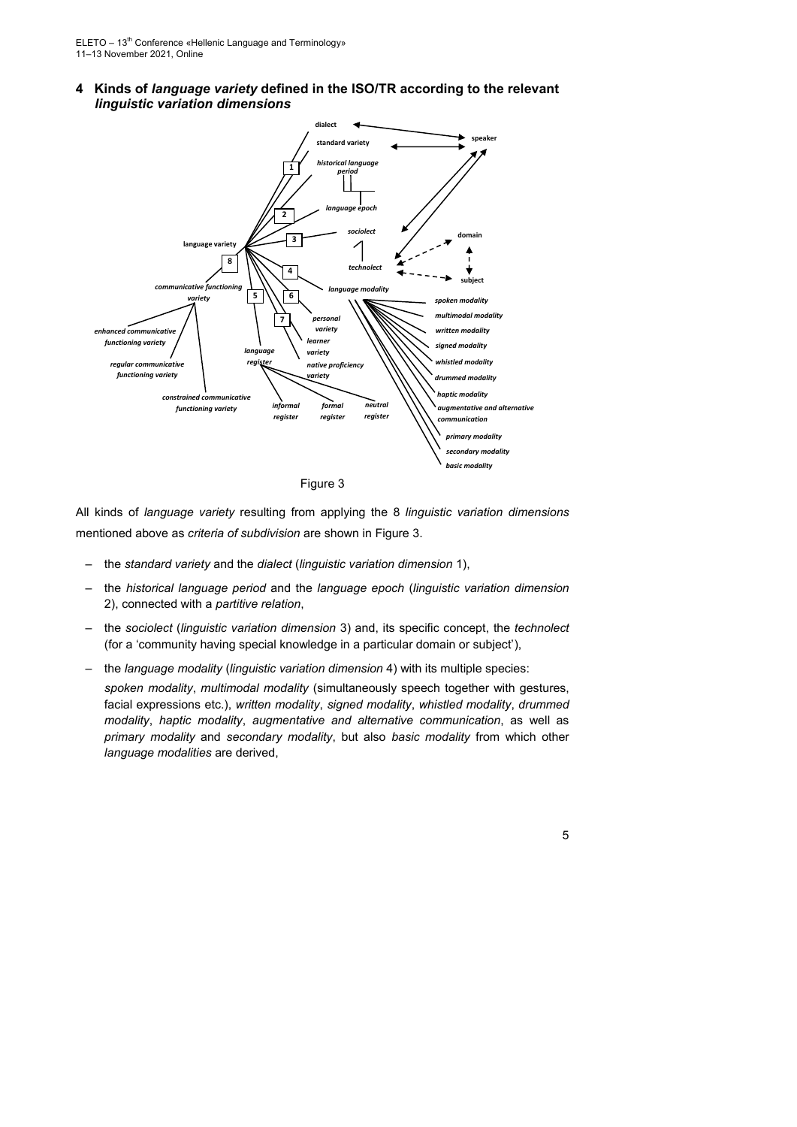**4 Kinds of** *language variety* **defined in the ISO/TR according to the relevant**  *linguistic variation dimensions*



Figure 3

All kinds of *language variety* resulting from applying the 8 *linguistic variation dimensions* mentioned above as *criteria of subdivision* are shown in Figure 3.

- the *standard variety* and the *dialect* (*linguistic variation dimension* 1),
- the *historical language period* and the *language epoch* (*linguistic variation dimension* 2), connected with a *partitive relation*,
- the *sociolect* (*linguistic variation dimension* 3) and, its specific concept, the *technolect* (for a 'community having special knowledge in a particular domain or subject'),
- the *language modality* (*linguistic variation dimension* 4) with its multiple species:

*spoken modality*, *multimodal modality* (simultaneously speech together with gestures, facial expressions etc.), *written modality*, *signed modality*, *whistled modality*, *drummed modality*, *haptic modality*, *augmentative and alternative communication*, as well as *primary modality* and *secondary modality*, but also *basic modality* from which other *language modalities* are derived,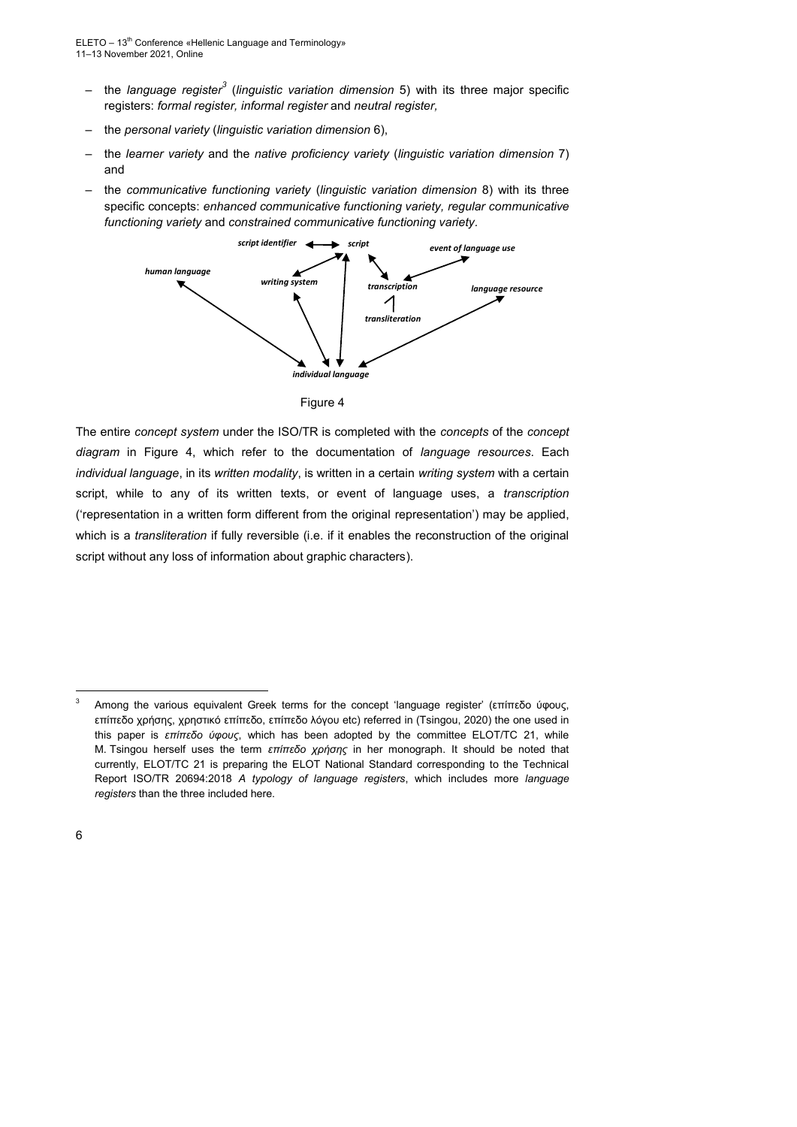- the *language register<sup>3</sup>* (*linguistic variation dimension* 5) with its three major specific registers: *formal register, informal register* and *neutral register,*
- the *personal variety* (*linguistic variation dimension* 6),
- the *learner variety* and the *native proficiency variety* (*linguistic variation dimension* 7) and
- the *communicative functioning variety* (*linguistic variation dimension* 8) with its three specific concepts: *enhanced communicative functioning variety, regular communicative functioning variety* and *constrained communicative functioning variety.*





The entire *concept system* under the ISO/TR is completed with the *concepts* of the *concept diagram* in Figure 4, which refer to the documentation of *language resources*. Each *individual language*, in its *written modality*, is written in a certain *writing system* with a certain script, while to any of its written texts, or event of language uses, a *transcription* ('representation in a written form different from the original representation') may be applied, which is a *transliteration* if fully reversible (i.e. if it enables the reconstruction of the original script without any loss of information about graphic characters).

-

<sup>3</sup> Among the various equivalent Greek terms for the concept 'language register' (επίπεδο ύφους, επίπεδο χρήσης, χρηστικό επίπεδο, επίπεδο λόγου etc) referred in (Tsingou, 2020) the one used in this paper is *επίπεδο ύφους*, which has been adopted by the committee ELOT/TC 21, while M. Tsingou herself uses the term *επίπεδο χρήσης* in her monograph. It should be noted that currently, ELOT/TC 21 is preparing the ELOT National Standard corresponding to the Technical Report ISO/TR 20694:2018 *A typology of language registers*, which includes more *language registers* than the three included here.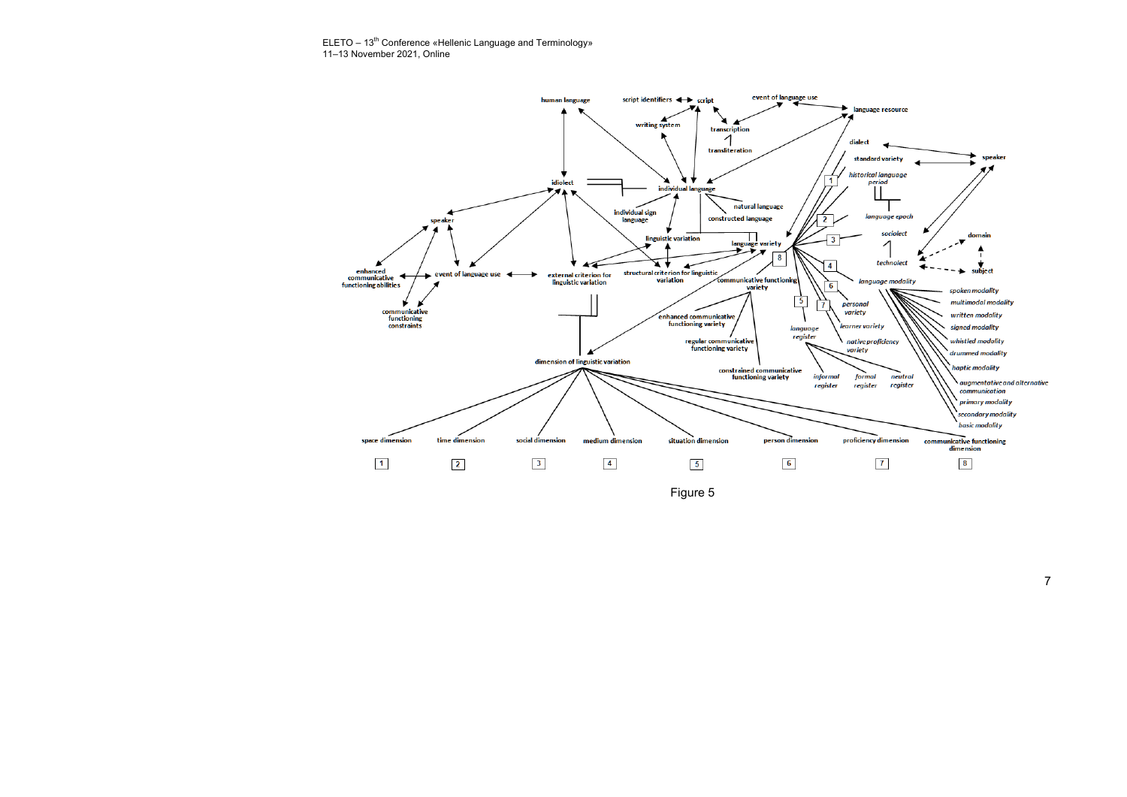ELETO – 13<sup>th</sup> Conference «Hellenic Language and Terminology» 11–13 November 2021, Online

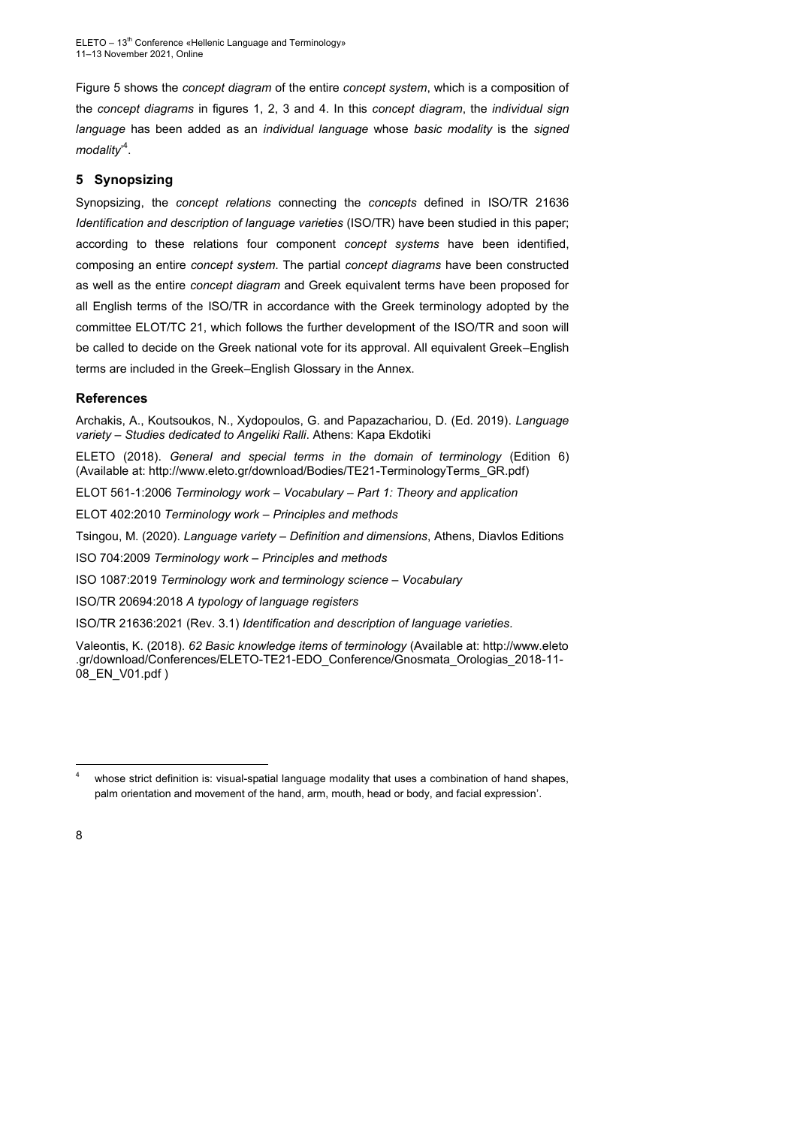Figure 5 shows the *concept diagram* of the entire *concept system*, which is a composition of the *concept diagrams* in figures 1, 2, 3 and 4. In this *concept diagram*, the *individual sign language* has been added as an *individual language* whose *basic modality* is the *signed modality*' 4 .

## **5 Synopsizing**

Synopsizing, the *concept relations* connecting the *concepts* defined in ISO/TR 21636 *Identification and description of language varieties* (ISO/TR) have been studied in this paper; according to these relations four component *concept systems* have been identified, composing an entire *concept system*. The partial *concept diagrams* have been constructed as well as the entire *concept diagram* and Greek equivalent terms have been proposed for all English terms of the ISO/TR in accordance with the Greek terminology adopted by the committee ELOT/TC 21, which follows the further development of the ISO/TR and soon will be called to decide on the Greek national vote for its approval. All equivalent Greek–English terms are included in the Greek–English Glossary in the Annex.

### **References**

Archakis, A., Koutsoukos, N., Xydopoulos, G. and Papazachariou, D. (Ed. 2019). *Language variety – Studies dedicated to Angeliki Ralli*. Athens: Kapa Ekdotiki

ELETO (2018). *General and special terms in the domain of terminology* (Edition 6) (Available at: [http://www.eleto.gr/download/Bodies/TE21-TerminologyTerms\\_GR.pdf\)](http://www.eleto.gr/download/Bodies/TE21-TerminologyTerms_GR.pdf)

ELOT 561-1:2006 *Terminology work – Vocabulary – Part 1: Theory and application*

ELOT 402:2010 *Terminology work – Principles and methods*

Tsingou, M. (2020). *Language variety – Definition and dimensions*, Athens, Diavlos Editions

ISO 704:2009 *Terminology work – Principles and methods*

ISO 1087:2019 *Terminology work and terminology science – Vocabulary*

ISO/TR 20694:2018 *A typology of language registers*

ISO/TR 21636:2021 (Rev. 3.1) *Identification and description of language varieties.*

Valeontis, K. (2018). *62 Basic knowledge items of terminology* (Available at: [http://www.eleto](http://www.eleto.gr/download/Conferences/ELETO-TE21-EDO_Conference/Gnosmata_Orologias_2018-11-08_EN_V01.pdf) [.gr/download/Conferences/ELETO-TE21-EDO\\_Conference/Gnosmata\\_Orologias\\_2018-11-](http://www.eleto.gr/download/Conferences/ELETO-TE21-EDO_Conference/Gnosmata_Orologias_2018-11-08_EN_V01.pdf) [08\\_EN\\_V01.pdf](http://www.eleto.gr/download/Conferences/ELETO-TE21-EDO_Conference/Gnosmata_Orologias_2018-11-08_EN_V01.pdf) )

-

whose strict definition is: visual-spatial language modality that uses a combination of hand shapes, palm orientation and movement of the hand, arm, mouth, head or body, and facial expression'.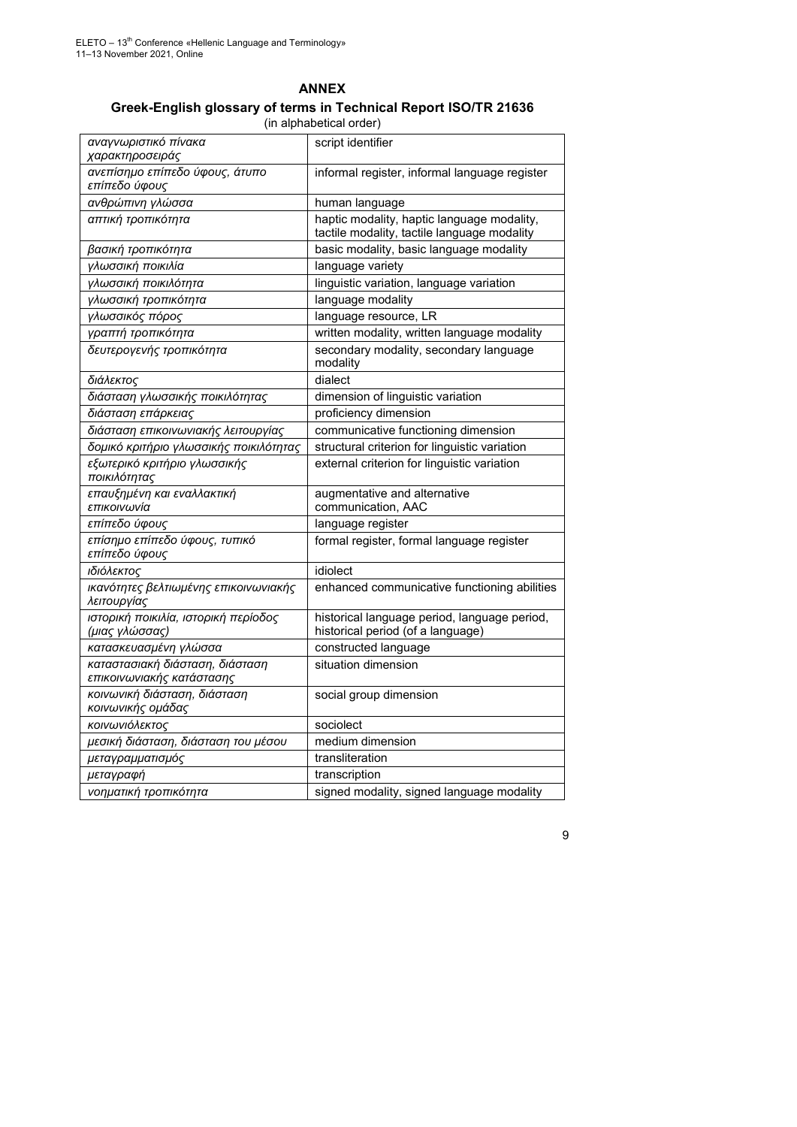| <b>ANNEX</b>                                                     |  |  |
|------------------------------------------------------------------|--|--|
| Greek-English glossary of terms in Technical Report ISO/TR 21636 |  |  |
| (in alphabetical order)                                          |  |  |

| αναγνωριστικό πίνακα<br>χαρακτηροσειράς                      | script identifier                                                                         |
|--------------------------------------------------------------|-------------------------------------------------------------------------------------------|
| ανεπίσημο επίπεδο ύφους, άτυπο<br>επίπεδο ύφους              | informal register, informal language register                                             |
| ανθρώπινη γλώσσα                                             | human language                                                                            |
| απτική τροπικότητα                                           | haptic modality, haptic language modality,<br>tactile modality, tactile language modality |
| βασική τροπικότητα                                           | basic modality, basic language modality                                                   |
| γλωσσική ποικιλία                                            | language variety                                                                          |
| γλωσσική ποικιλότητα                                         | linguistic variation, language variation                                                  |
| γλωσσική τροπικότητα                                         | language modality                                                                         |
| γλωσσικός πόρος                                              | language resource, LR                                                                     |
| γραπτή τροπικότητα                                           | written modality, written language modality                                               |
| δευτερογενής τροπικότητα                                     | secondary modality, secondary language<br>modality                                        |
| διάλεκτος                                                    | dialect                                                                                   |
| διάσταση γλωσσικής ποικιλότητας                              | dimension of linguistic variation                                                         |
| διάσταση επάρκειας                                           | proficiency dimension                                                                     |
| διάσταση επικοινωνιακής λειτουργίας                          | communicative functioning dimension                                                       |
| δομικό κριτήριο γλωσσικής ποικιλότητας                       | structural criterion for linguistic variation                                             |
| εξωτερικό κριτήριο γλωσσικής<br>ποικιλότητας                 | external criterion for linguistic variation                                               |
| επαυξημένη και εναλλακτική<br>επικοινωνία                    | augmentative and alternative<br>communication, AAC                                        |
| επίπεδο ύφους                                                | language register                                                                         |
| επίσημο επίπεδο ύφους, τυπικό<br>επίπεδο ύφους               | formal register, formal language register                                                 |
| ιδιόλεκτος                                                   | idiolect                                                                                  |
| ικανότητες βελτιωμένης επικοινωνιακής<br>λειτουργίας         | enhanced communicative functioning abilities                                              |
| ιστορική ποικιλία, ιστορική περίοδος<br>(μιας γλώσσας)       | historical language period, language period,<br>historical period (of a language)         |
| κατασκευασμένη γλώσσα                                        | constructed language                                                                      |
| καταστασιακή διάσταση, διάσταση<br>επικοινωνιακής κατάστασης | situation dimension                                                                       |
| κοινωνική διάσταση, διάσταση<br>κοινωνικής ομάδας            | social group dimension                                                                    |
| κοινωνιόλεκτος                                               | sociolect                                                                                 |
| μεσική διάσταση, διάσταση του μέσου                          | medium dimension                                                                          |
| μεταγραμματισμός                                             | transliteration                                                                           |
| μεταγραφή                                                    | transcription                                                                             |
| νοηματική τροπικότητα                                        | signed modality, signed language modality                                                 |